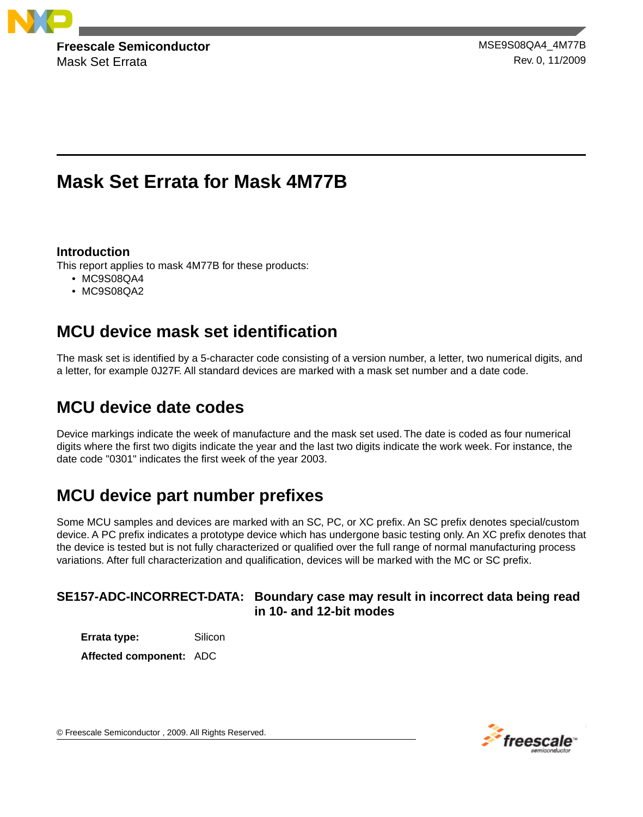

Mask Set Errata **Rev. 0, 11/2009** 

**Freescale Semiconductor** MSE9S08QA4\_4M77B

# **Mask Set Errata for Mask 4M77B**

## **Introduction**

This report applies to mask 4M77B for these products:

- MC9S08QA4
- MC9S08QA2

# **MCU device mask set identification**

The mask set is identified by a 5-character code consisting of a version number, a letter, two numerical digits, and a letter, for example 0J27F. All standard devices are marked with a mask set number and a date code.

# **MCU device date codes**

Device markings indicate the week of manufacture and the mask set used. The date is coded as four numerical digits where the first two digits indicate the year and the last two digits indicate the work week. For instance, the date code "0301" indicates the first week of the year 2003.

# **MCU device part number prefixes**

Some MCU samples and devices are marked with an SC, PC, or XC prefix. An SC prefix denotes special/custom device. A PC prefix indicates a prototype device which has undergone basic testing only. An XC prefix denotes that the device is tested but is not fully characterized or qualified over the full range of normal manufacturing process variations. After full characterization and qualification, devices will be marked with the MC or SC prefix.

## **SE157-ADC-INCORRECT-DATA: Boundary case may result in incorrect data being read in 10- and 12-bit modes**

**Errata type:** Silicon

**Affected component:** ADC



© Freescale Semiconductor , 2009. All Rights Reserved.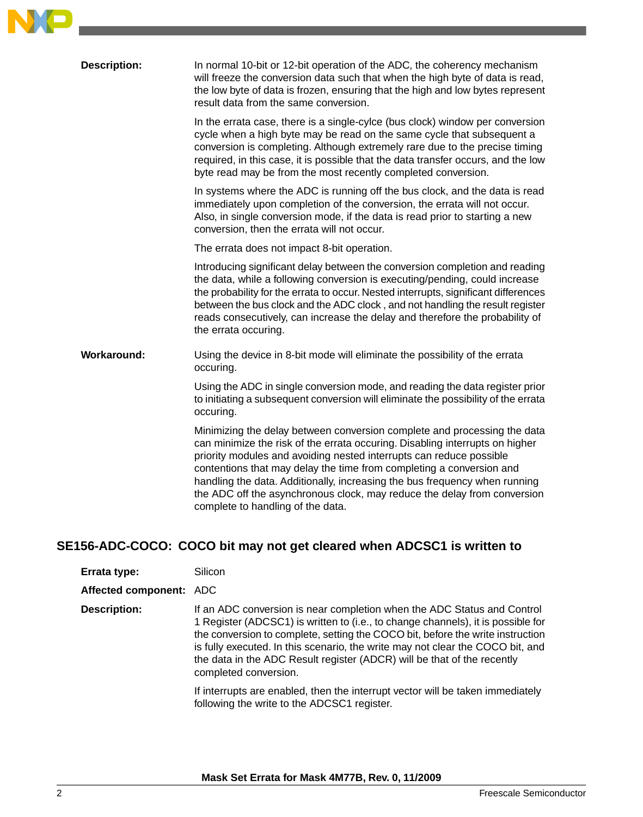

| <b>Description:</b> | In normal 10-bit or 12-bit operation of the ADC, the coherency mechanism<br>will freeze the conversion data such that when the high byte of data is read,<br>the low byte of data is frozen, ensuring that the high and low bytes represent<br>result data from the same conversion.                                                                                                                                                                                                                   |
|---------------------|--------------------------------------------------------------------------------------------------------------------------------------------------------------------------------------------------------------------------------------------------------------------------------------------------------------------------------------------------------------------------------------------------------------------------------------------------------------------------------------------------------|
|                     | In the errata case, there is a single-cylce (bus clock) window per conversion<br>cycle when a high byte may be read on the same cycle that subsequent a<br>conversion is completing. Although extremely rare due to the precise timing<br>required, in this case, it is possible that the data transfer occurs, and the low<br>byte read may be from the most recently completed conversion.                                                                                                           |
|                     | In systems where the ADC is running off the bus clock, and the data is read<br>immediately upon completion of the conversion, the errata will not occur.<br>Also, in single conversion mode, if the data is read prior to starting a new<br>conversion, then the errata will not occur.                                                                                                                                                                                                                |
|                     | The errata does not impact 8-bit operation.                                                                                                                                                                                                                                                                                                                                                                                                                                                            |
|                     | Introducing significant delay between the conversion completion and reading<br>the data, while a following conversion is executing/pending, could increase<br>the probability for the errata to occur. Nested interrupts, significant differences<br>between the bus clock and the ADC clock, and not handling the result register<br>reads consecutively, can increase the delay and therefore the probability of<br>the errata occuring.                                                             |
| Workaround:         | Using the device in 8-bit mode will eliminate the possibility of the errata<br>occuring.                                                                                                                                                                                                                                                                                                                                                                                                               |
|                     | Using the ADC in single conversion mode, and reading the data register prior<br>to initiating a subsequent conversion will eliminate the possibility of the errata<br>occuring.                                                                                                                                                                                                                                                                                                                        |
|                     | Minimizing the delay between conversion complete and processing the data<br>can minimize the risk of the errata occuring. Disabling interrupts on higher<br>priority modules and avoiding nested interrupts can reduce possible<br>contentions that may delay the time from completing a conversion and<br>handling the data. Additionally, increasing the bus frequency when running<br>the ADC off the asynchronous clock, may reduce the delay from conversion<br>complete to handling of the data. |
|                     |                                                                                                                                                                                                                                                                                                                                                                                                                                                                                                        |

## **SE156-ADC-COCO: COCO bit may not get cleared when ADCSC1 is written to**

| Errata type: | Silicon |
|--------------|---------|
|--------------|---------|

**Affected component:** ADC

If an ADC conversion is near completion when the ADC Status and Control 1 Register (ADCSC1) is written to (i.e., to change channels), it is possible for the conversion to complete, setting the COCO bit, before the write instruction **Description:** is fully executed. In this scenario, the write may not clear the COCO bit, and the data in the ADC Result register (ADCR) will be that of the recently completed conversion.

> If interrupts are enabled, then the interrupt vector will be taken immediately following the write to the ADCSC1 register.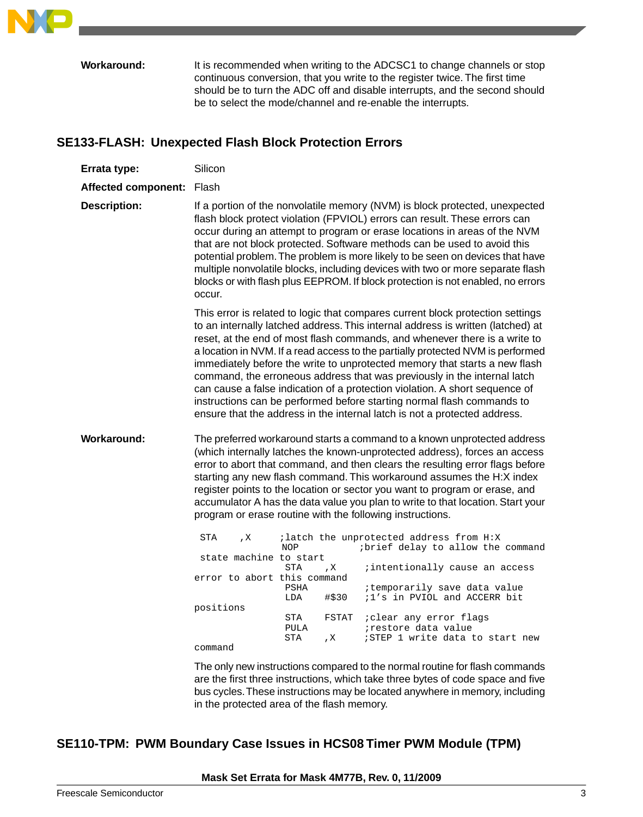

It is recommended when writing to the ADCSC1 to change channels or stop continuous conversion, that you write to the register twice. The first time should be to turn the ADC off and disable interrupts, and the second should be to select the mode/channel and re-enable the interrupts. **Workaround:**

## **SE133-FLASH: Unexpected Flash Block Protection Errors**

| Errata type:              | Silicon                                                                                                                                                                                                                                                                                                                                                                                                                                                                                                                                                                                                                                                                                                                                                                                                          |  |
|---------------------------|------------------------------------------------------------------------------------------------------------------------------------------------------------------------------------------------------------------------------------------------------------------------------------------------------------------------------------------------------------------------------------------------------------------------------------------------------------------------------------------------------------------------------------------------------------------------------------------------------------------------------------------------------------------------------------------------------------------------------------------------------------------------------------------------------------------|--|
| Affected component: Flash |                                                                                                                                                                                                                                                                                                                                                                                                                                                                                                                                                                                                                                                                                                                                                                                                                  |  |
| <b>Description:</b>       | If a portion of the nonvolatile memory (NVM) is block protected, unexpected<br>flash block protect violation (FPVIOL) errors can result. These errors can<br>occur during an attempt to program or erase locations in areas of the NVM<br>that are not block protected. Software methods can be used to avoid this<br>potential problem. The problem is more likely to be seen on devices that have<br>multiple nonvolatile blocks, including devices with two or more separate flash<br>blocks or with flash plus EEPROM. If block protection is not enabled, no errors<br>occur.                                                                                                                                                                                                                               |  |
|                           | This error is related to logic that compares current block protection settings<br>to an internally latched address. This internal address is written (latched) at<br>reset, at the end of most flash commands, and whenever there is a write to<br>a location in NVM. If a read access to the partially protected NVM is performed<br>immediately before the write to unprotected memory that starts a new flash<br>command, the erroneous address that was previously in the internal latch<br>can cause a false indication of a protection violation. A short sequence of<br>instructions can be performed before starting normal flash commands to<br>ensure that the address in the internal latch is not a protected address.                                                                               |  |
| Workaround:               | The preferred workaround starts a command to a known unprotected address<br>(which internally latches the known-unprotected address), forces an access<br>error to abort that command, and then clears the resulting error flags before<br>starting any new flash command. This workaround assumes the H:X index<br>register points to the location or sector you want to program or erase, and<br>accumulator A has the data value you plan to write to that location. Start your<br>program or erase routine with the following instructions.<br><b>STA</b><br>; latch the unprotected address from H:X<br>, X<br>ibrief delay to allow the command<br><b>NOP</b><br>state machine to start<br><b>STA</b><br>; intentionally cause an access<br>, X<br>error to abort this command<br>the property of the con- |  |

| error to abort this command |                     |                                                             |
|-----------------------------|---------------------|-------------------------------------------------------------|
|                             | PSHA                | itemporarily save data value                                |
|                             | LDA                 | $\#$ \$30 ;1's in PVIOL and ACCERR bit                      |
| positions                   |                     |                                                             |
|                             | STA<br>PULA         | FSTAT <i>i</i> clear any error flags<br>irestore data value |
|                             | STA<br>$\mathbf{X}$ | ;STEP 1 write data to start new                             |
| command                     |                     |                                                             |

The only new instructions compared to the normal routine for flash commands are the first three instructions, which take three bytes of code space and five bus cycles.These instructions may be located anywhere in memory, including in the protected area of the flash memory.

# **SE110-TPM: PWM Boundary Case Issues in HCS08 Timer PWM Module (TPM)**

### **Mask Set Errata for Mask 4M77B, Rev. 0, 11/2009**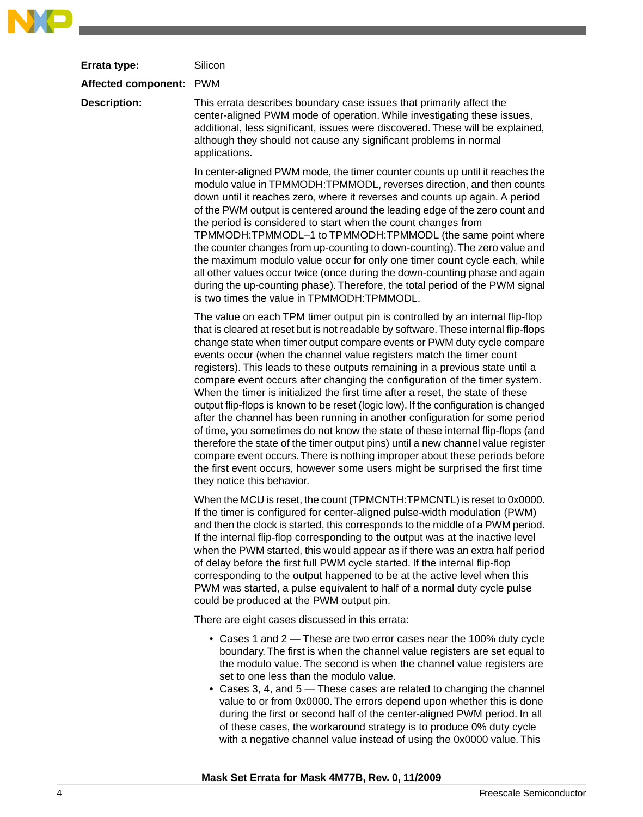| Errata type:            | Silicon                                                                                                                                                                                                                                                                                                                                                                                                                                                                                                                                                                                                                                                                                                                                                                                                                                                                                                                                                                                                                                                                                                          |
|-------------------------|------------------------------------------------------------------------------------------------------------------------------------------------------------------------------------------------------------------------------------------------------------------------------------------------------------------------------------------------------------------------------------------------------------------------------------------------------------------------------------------------------------------------------------------------------------------------------------------------------------------------------------------------------------------------------------------------------------------------------------------------------------------------------------------------------------------------------------------------------------------------------------------------------------------------------------------------------------------------------------------------------------------------------------------------------------------------------------------------------------------|
| Affected component: PWM |                                                                                                                                                                                                                                                                                                                                                                                                                                                                                                                                                                                                                                                                                                                                                                                                                                                                                                                                                                                                                                                                                                                  |
| <b>Description:</b>     | This errata describes boundary case issues that primarily affect the<br>center-aligned PWM mode of operation. While investigating these issues,<br>additional, less significant, issues were discovered. These will be explained,<br>although they should not cause any significant problems in normal<br>applications.                                                                                                                                                                                                                                                                                                                                                                                                                                                                                                                                                                                                                                                                                                                                                                                          |
|                         | In center-aligned PWM mode, the timer counter counts up until it reaches the<br>modulo value in TPMMODH:TPMMODL, reverses direction, and then counts<br>down until it reaches zero, where it reverses and counts up again. A period<br>of the PWM output is centered around the leading edge of the zero count and<br>the period is considered to start when the count changes from<br>TPMMODH:TPMMODL-1 to TPMMODH:TPMMODL (the same point where<br>the counter changes from up-counting to down-counting). The zero value and<br>the maximum modulo value occur for only one timer count cycle each, while<br>all other values occur twice (once during the down-counting phase and again<br>during the up-counting phase). Therefore, the total period of the PWM signal<br>is two times the value in TPMMODH:TPMMODL.                                                                                                                                                                                                                                                                                        |
|                         | The value on each TPM timer output pin is controlled by an internal flip-flop<br>that is cleared at reset but is not readable by software. These internal flip-flops<br>change state when timer output compare events or PWM duty cycle compare<br>events occur (when the channel value registers match the timer count<br>registers). This leads to these outputs remaining in a previous state until a<br>compare event occurs after changing the configuration of the timer system.<br>When the timer is initialized the first time after a reset, the state of these<br>output flip-flops is known to be reset (logic low). If the configuration is changed<br>after the channel has been running in another configuration for some period<br>of time, you sometimes do not know the state of these internal flip-flops (and<br>therefore the state of the timer output pins) until a new channel value register<br>compare event occurs. There is nothing improper about these periods before<br>the first event occurs, however some users might be surprised the first time<br>they notice this behavior. |
|                         | When the MCU is reset, the count (TPMCNTH:TPMCNTL) is reset to 0x0000.<br>If the timer is configured for center-aligned pulse-width modulation (PWM)<br>and then the clock is started, this corresponds to the middle of a PWM period.<br>If the internal flip-flop corresponding to the output was at the inactive level<br>when the PWM started, this would appear as if there was an extra half period<br>of delay before the first full PWM cycle started. If the internal flip-flop<br>corresponding to the output happened to be at the active level when this<br>PWM was started, a pulse equivalent to half of a normal duty cycle pulse<br>could be produced at the PWM output pin.                                                                                                                                                                                                                                                                                                                                                                                                                     |
|                         | There are eight cases discussed in this errata:                                                                                                                                                                                                                                                                                                                                                                                                                                                                                                                                                                                                                                                                                                                                                                                                                                                                                                                                                                                                                                                                  |
|                         | • Cases 1 and 2 — These are two error cases near the 100% duty cycle<br>boundary. The first is when the channel value registers are set equal to<br>the modulo value. The second is when the channel value registers are<br>set to one less than the modulo value.<br>• Cases 3, 4, and 5 - These cases are related to changing the channel<br>value to or from 0x0000. The errors depend upon whether this is done<br>during the first or second half of the center-aligned PWM period. In all                                                                                                                                                                                                                                                                                                                                                                                                                                                                                                                                                                                                                  |

with a negative channel value instead of using the 0x0000 value. This

NO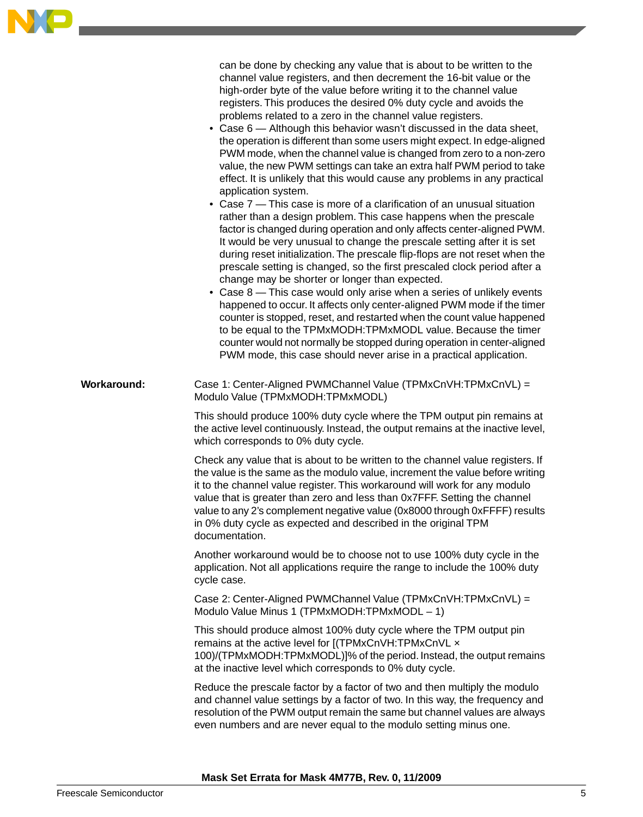

|                    | can be done by checking any value that is about to be written to the<br>channel value registers, and then decrement the 16-bit value or the<br>high-order byte of the value before writing it to the channel value<br>registers. This produces the desired 0% duty cycle and avoids the<br>problems related to a zero in the channel value registers.<br>• Case 6 – Although this behavior wasn't discussed in the data sheet,<br>the operation is different than some users might expect. In edge-aligned<br>PWM mode, when the channel value is changed from zero to a non-zero<br>value, the new PWM settings can take an extra half PWM period to take<br>effect. It is unlikely that this would cause any problems in any practical<br>application system.<br>• Case 7 – This case is more of a clarification of an unusual situation<br>rather than a design problem. This case happens when the prescale<br>factor is changed during operation and only affects center-aligned PWM.<br>It would be very unusual to change the prescale setting after it is set<br>during reset initialization. The prescale flip-flops are not reset when the<br>prescale setting is changed, so the first prescaled clock period after a<br>change may be shorter or longer than expected.<br>• Case 8 - This case would only arise when a series of unlikely events<br>happened to occur. It affects only center-aligned PWM mode if the timer<br>counter is stopped, reset, and restarted when the count value happened<br>to be equal to the TPMxMODH:TPMxMODL value. Because the timer<br>counter would not normally be stopped during operation in center-aligned<br>PWM mode, this case should never arise in a practical application. |
|--------------------|--------------------------------------------------------------------------------------------------------------------------------------------------------------------------------------------------------------------------------------------------------------------------------------------------------------------------------------------------------------------------------------------------------------------------------------------------------------------------------------------------------------------------------------------------------------------------------------------------------------------------------------------------------------------------------------------------------------------------------------------------------------------------------------------------------------------------------------------------------------------------------------------------------------------------------------------------------------------------------------------------------------------------------------------------------------------------------------------------------------------------------------------------------------------------------------------------------------------------------------------------------------------------------------------------------------------------------------------------------------------------------------------------------------------------------------------------------------------------------------------------------------------------------------------------------------------------------------------------------------------------------------------------------------------------------------------------------------------------------------|
| <b>Workaround:</b> | Case 1: Center-Aligned PWMChannel Value (TPMxCnVH:TPMxCnVL) =<br>Modulo Value (TPMxMODH:TPMxMODL)                                                                                                                                                                                                                                                                                                                                                                                                                                                                                                                                                                                                                                                                                                                                                                                                                                                                                                                                                                                                                                                                                                                                                                                                                                                                                                                                                                                                                                                                                                                                                                                                                                    |
|                    | This should produce 100% duty cycle where the TPM output pin remains at<br>the active level continuously. Instead, the output remains at the inactive level,<br>which corresponds to 0% duty cycle.                                                                                                                                                                                                                                                                                                                                                                                                                                                                                                                                                                                                                                                                                                                                                                                                                                                                                                                                                                                                                                                                                                                                                                                                                                                                                                                                                                                                                                                                                                                                  |
|                    | Check any value that is about to be written to the channel value registers. If<br>the value is the same as the modulo value, increment the value before writing<br>it to the channel value register. This workaround will work for any modulo<br>value that is greater than zero and less than 0x7FFF. Setting the channel<br>value to any 2's complement negative value (0x8000 through 0xFFFF) results<br>in 0% duty cycle as expected and described in the original TPM<br>documentation.                                                                                                                                                                                                                                                                                                                                                                                                                                                                                                                                                                                                                                                                                                                                                                                                                                                                                                                                                                                                                                                                                                                                                                                                                                         |
|                    | Another workaround would be to choose not to use 100% duty cycle in the<br>application. Not all applications require the range to include the 100% duty<br>cycle case.                                                                                                                                                                                                                                                                                                                                                                                                                                                                                                                                                                                                                                                                                                                                                                                                                                                                                                                                                                                                                                                                                                                                                                                                                                                                                                                                                                                                                                                                                                                                                               |
|                    | Case 2: Center-Aligned PWMChannel Value (TPMxCnVH:TPMxCnVL) =<br>Modulo Value Minus 1 (TPMxMODH:TPMxMODL - 1)                                                                                                                                                                                                                                                                                                                                                                                                                                                                                                                                                                                                                                                                                                                                                                                                                                                                                                                                                                                                                                                                                                                                                                                                                                                                                                                                                                                                                                                                                                                                                                                                                        |
|                    | This should produce almost 100% duty cycle where the TPM output pin<br>remains at the active level for [(TPMxCnVH:TPMxCnVL x<br>100)/(TPMxMODH:TPMxMODL)]% of the period. Instead, the output remains<br>at the inactive level which corresponds to 0% duty cycle.                                                                                                                                                                                                                                                                                                                                                                                                                                                                                                                                                                                                                                                                                                                                                                                                                                                                                                                                                                                                                                                                                                                                                                                                                                                                                                                                                                                                                                                                   |
|                    | Reduce the prescale factor by a factor of two and then multiply the modulo<br>and channel value settings by a factor of two. In this way, the frequency and<br>resolution of the PWM output remain the same but channel values are always<br>even numbers and are never equal to the modulo setting minus one.                                                                                                                                                                                                                                                                                                                                                                                                                                                                                                                                                                                                                                                                                                                                                                                                                                                                                                                                                                                                                                                                                                                                                                                                                                                                                                                                                                                                                       |

**Mask Set Errata for Mask 4M77B, Rev. 0, 11/2009**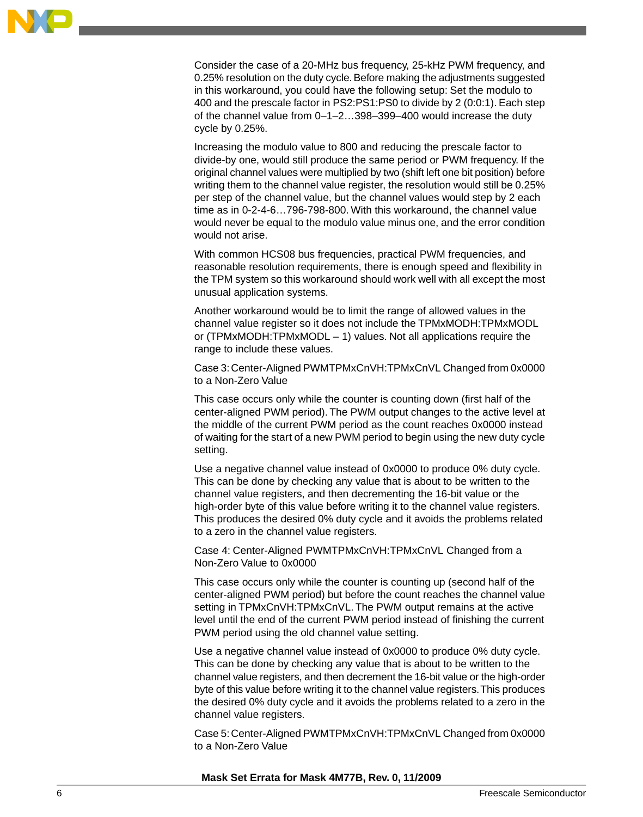

Consider the case of a 20-MHz bus frequency, 25-kHz PWM frequency, and 0.25% resolution on the duty cycle. Before making the adjustments suggested in this workaround, you could have the following setup: Set the modulo to 400 and the prescale factor in PS2:PS1:PS0 to divide by 2 (0:0:1). Each step of the channel value from 0–1–2…398–399–400 would increase the duty cycle by 0.25%.

Increasing the modulo value to 800 and reducing the prescale factor to divide-by one, would still produce the same period or PWM frequency. If the original channel values were multiplied by two (shift left one bit position) before writing them to the channel value register, the resolution would still be 0.25% per step of the channel value, but the channel values would step by 2 each time as in 0-2-4-6…796-798-800. With this workaround, the channel value would never be equal to the modulo value minus one, and the error condition would not arise.

With common HCS08 bus frequencies, practical PWM frequencies, and reasonable resolution requirements, there is enough speed and flexibility in the TPM system so this workaround should work well with all except the most unusual application systems.

Another workaround would be to limit the range of allowed values in the channel value register so it does not include the TPMxMODH:TPMxMODL or (TPMxMODH:TPMxMODL – 1) values. Not all applications require the range to include these values.

Case 3: Center-Aligned PWMTPMxCnVH:TPMxCnVL Changed from 0x0000 to a Non-Zero Value

This case occurs only while the counter is counting down (first half of the center-aligned PWM period). The PWM output changes to the active level at the middle of the current PWM period as the count reaches 0x0000 instead of waiting for the start of a new PWM period to begin using the new duty cycle setting.

Use a negative channel value instead of 0x0000 to produce 0% duty cycle. This can be done by checking any value that is about to be written to the channel value registers, and then decrementing the 16-bit value or the high-order byte of this value before writing it to the channel value registers. This produces the desired 0% duty cycle and it avoids the problems related to a zero in the channel value registers.

Case 4: Center-Aligned PWMTPMxCnVH:TPMxCnVL Changed from a Non-Zero Value to 0x0000

This case occurs only while the counter is counting up (second half of the center-aligned PWM period) but before the count reaches the channel value setting in TPMxCnVH:TPMxCnVL. The PWM output remains at the active level until the end of the current PWM period instead of finishing the current PWM period using the old channel value setting.

Use a negative channel value instead of 0x0000 to produce 0% duty cycle. This can be done by checking any value that is about to be written to the channel value registers, and then decrement the 16-bit value or the high-order byte of this value before writing it to the channel value registers.This produces the desired 0% duty cycle and it avoids the problems related to a zero in the channel value registers.

Case 5: Center-Aligned PWMTPMxCnVH:TPMxCnVL Changed from 0x0000 to a Non-Zero Value

### **Mask Set Errata for Mask 4M77B, Rev. 0, 11/2009**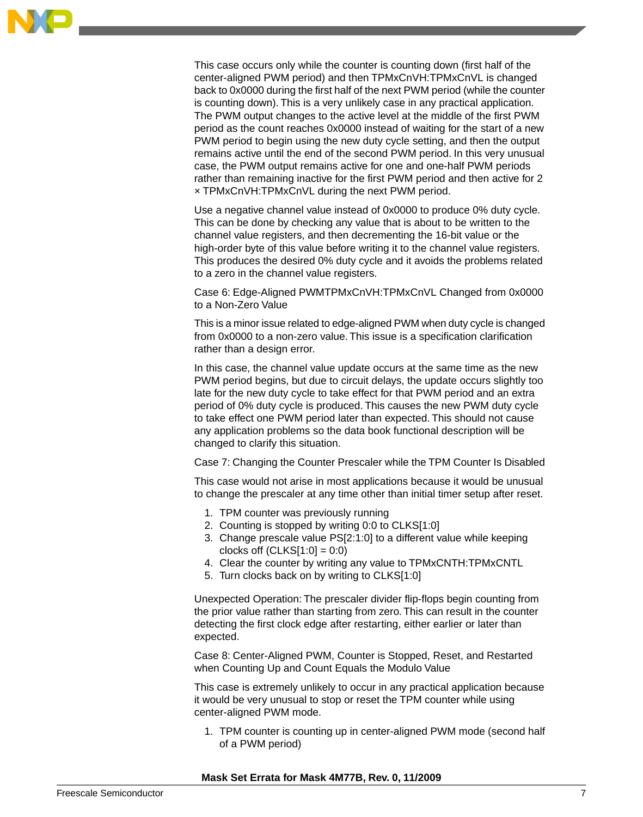

This case occurs only while the counter is counting down (first half of the center-aligned PWM period) and then TPMxCnVH:TPMxCnVL is changed back to 0x0000 during the first half of the next PWM period (while the counter is counting down). This is a very unlikely case in any practical application. The PWM output changes to the active level at the middle of the first PWM period as the count reaches 0x0000 instead of waiting for the start of a new PWM period to begin using the new duty cycle setting, and then the output remains active until the end of the second PWM period. In this very unusual case, the PWM output remains active for one and one-half PWM periods rather than remaining inactive for the first PWM period and then active for 2 × TPMxCnVH:TPMxCnVL during the next PWM period.

Use a negative channel value instead of 0x0000 to produce 0% duty cycle. This can be done by checking any value that is about to be written to the channel value registers, and then decrementing the 16-bit value or the high-order byte of this value before writing it to the channel value registers. This produces the desired 0% duty cycle and it avoids the problems related to a zero in the channel value registers.

Case 6: Edge-Aligned PWMTPMxCnVH:TPMxCnVL Changed from 0x0000 to a Non-Zero Value

This is a minor issue related to edge-aligned PWM when duty cycle is changed from 0x0000 to a non-zero value. This issue is a specification clarification rather than a design error.

In this case, the channel value update occurs at the same time as the new PWM period begins, but due to circuit delays, the update occurs slightly too late for the new duty cycle to take effect for that PWM period and an extra period of 0% duty cycle is produced. This causes the new PWM duty cycle to take effect one PWM period later than expected. This should not cause any application problems so the data book functional description will be changed to clarify this situation.

Case 7: Changing the Counter Prescaler while the TPM Counter Is Disabled

This case would not arise in most applications because it would be unusual to change the prescaler at any time other than initial timer setup after reset.

- 1. TPM counter was previously running
- 2. Counting is stopped by writing 0:0 to CLKS[1:0]
- 3. Change prescale value PS[2:1:0] to a different value while keeping clocks off  $(CLKS[1:0] = 0:0)$
- 4. Clear the counter by writing any value to TPMxCNTH:TPMxCNTL
- 5. Turn clocks back on by writing to CLKS[1:0]

Unexpected Operation: The prescaler divider flip-flops begin counting from the prior value rather than starting from zero. This can result in the counter detecting the first clock edge after restarting, either earlier or later than expected.

Case 8: Center-Aligned PWM, Counter is Stopped, Reset, and Restarted when Counting Up and Count Equals the Modulo Value

This case is extremely unlikely to occur in any practical application because it would be very unusual to stop or reset the TPM counter while using center-aligned PWM mode.

1. TPM counter is counting up in center-aligned PWM mode (second half of a PWM period)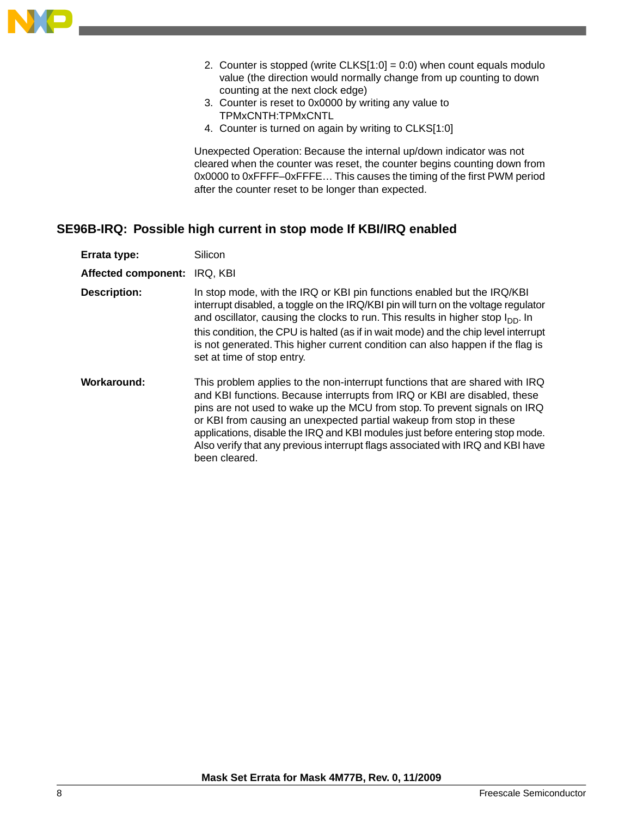

- 2. Counter is stopped (write  $CLKS[1:0] = 0:0$ ) when count equals modulo value (the direction would normally change from up counting to down counting at the next clock edge)
- 3. Counter is reset to 0x0000 by writing any value to TPMxCNTH:TPMxCNTL
- 4. Counter is turned on again by writing to CLKS[1:0]

Unexpected Operation: Because the internal up/down indicator was not cleared when the counter was reset, the counter begins counting down from 0x0000 to 0xFFFF–0xFFFE… This causes the timing of the first PWM period after the counter reset to be longer than expected.

## **SE96B-IRQ: Possible high current in stop mode If KBI/IRQ enabled**

| Errata type:               | Silicon                                                                                                                                                                                                                                                                                                                                                                                                                                                                                           |
|----------------------------|---------------------------------------------------------------------------------------------------------------------------------------------------------------------------------------------------------------------------------------------------------------------------------------------------------------------------------------------------------------------------------------------------------------------------------------------------------------------------------------------------|
| <b>Affected component:</b> | IRQ, KBI                                                                                                                                                                                                                                                                                                                                                                                                                                                                                          |
| <b>Description:</b>        | In stop mode, with the IRQ or KBI pin functions enabled but the IRQ/KBI<br>interrupt disabled, a toggle on the IRQ/KBI pin will turn on the voltage regulator<br>and oscillator, causing the clocks to run. This results in higher stop $I_{DD}$ . In<br>this condition, the CPU is halted (as if in wait mode) and the chip level interrupt<br>is not generated. This higher current condition can also happen if the flag is<br>set at time of stop entry.                                      |
| Workaround:                | This problem applies to the non-interrupt functions that are shared with IRQ<br>and KBI functions. Because interrupts from IRQ or KBI are disabled, these<br>pins are not used to wake up the MCU from stop. To prevent signals on IRQ<br>or KBI from causing an unexpected partial wakeup from stop in these<br>applications, disable the IRQ and KBI modules just before entering stop mode.<br>Also verify that any previous interrupt flags associated with IRQ and KBI have<br>been cleared. |